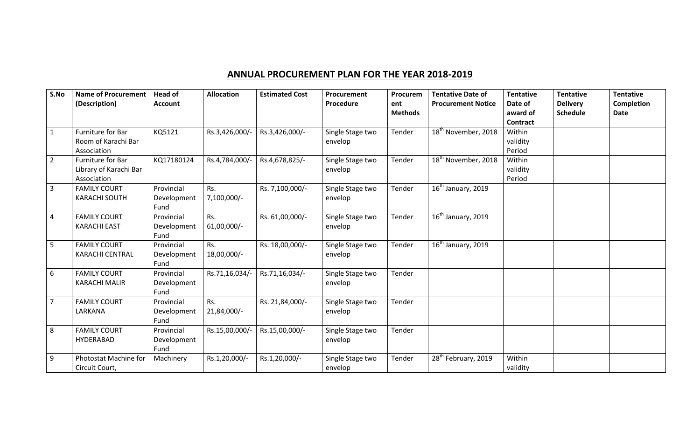## **ANNUAL PROCUREMENT PLAN FOR THE YEAR 2018-2019**

| S.No           | <b>Name of Procurement</b><br>(Description)                | <b>Head of</b><br><b>Account</b>  | <b>Allocation</b>    | <b>Estimated Cost</b> | Procurement<br>Procedure    | Procurem<br>ent<br><b>Methods</b> | <b>Tentative Date of</b><br><b>Procurement Notice</b> | <b>Tentative</b><br>Date of<br>award of         | <b>Tentative</b><br><b>Delivery</b><br><b>Schedule</b> | <b>Tentative</b><br><b>Completion</b><br>Date |
|----------------|------------------------------------------------------------|-----------------------------------|----------------------|-----------------------|-----------------------------|-----------------------------------|-------------------------------------------------------|-------------------------------------------------|--------------------------------------------------------|-----------------------------------------------|
| $\mathbf{1}$   | Furniture for Bar<br>Room of Karachi Bar<br>Association    | KQ5121                            | Rs.3,426,000/-       | Rs.3,426,000/-        | Single Stage two<br>envelop | Tender                            | 18 <sup>th</sup> November, 2018                       | <b>Contract</b><br>Within<br>validity<br>Period |                                                        |                                               |
| $\overline{2}$ | Furniture for Bar<br>Library of Karachi Bar<br>Association | KQ17180124                        | Rs.4,784,000/-       | Rs.4,678,825/-        | Single Stage two<br>envelop | Tender                            | 18 <sup>th</sup> November, 2018                       | Within<br>validity<br>Period                    |                                                        |                                               |
| $\overline{3}$ | <b>FAMILY COURT</b><br><b>KARACHI SOUTH</b>                | Provincial<br>Development<br>Fund | Rs.<br>7,100,000/-   | Rs. 7,100,000/-       | Single Stage two<br>envelop | Tender                            | $\overline{16^{th}}$ January, 2019                    |                                                 |                                                        |                                               |
| 4              | <b>FAMILY COURT</b><br><b>KARACHI EAST</b>                 | Provincial<br>Development<br>Fund | Rs.<br>$61,00,000/-$ | Rs. 61,00,000/-       | Single Stage two<br>envelop | Tender                            | $16th$ January, 2019                                  |                                                 |                                                        |                                               |
| 5              | <b>FAMILY COURT</b><br><b>KARACHI CENTRAL</b>              | Provincial<br>Development<br>Fund | Rs.<br>18,00,000/-   | Rs. 18,00,000/-       | Single Stage two<br>envelop | Tender                            | $16th$ January, 2019                                  |                                                 |                                                        |                                               |
| 6              | <b>FAMILY COURT</b><br><b>KARACHI MALIR</b>                | Provincial<br>Development<br>Fund | Rs.71,16,034/-       | Rs.71,16,034/-        | Single Stage two<br>envelop | Tender                            |                                                       |                                                 |                                                        |                                               |
| $\overline{7}$ | <b>FAMILY COURT</b><br>LARKANA                             | Provincial<br>Development<br>Fund | Rs.<br>21,84,000/-   | Rs. 21,84,000/-       | Single Stage two<br>envelop | Tender                            |                                                       |                                                 |                                                        |                                               |
| 8              | <b>FAMILY COURT</b><br>HYDERABAD                           | Provincial<br>Development<br>Fund | Rs.15,00,000/-       | Rs.15,00,000/-        | Single Stage two<br>envelop | Tender                            |                                                       |                                                 |                                                        |                                               |
| 9              | Photostat Machine for<br>Circuit Court,                    | Machinery                         | Rs.1,20,000/-        | Rs.1,20,000/-         | Single Stage two<br>envelop | Tender                            | 28 <sup>th</sup> February, 2019                       | Within<br>validity                              |                                                        |                                               |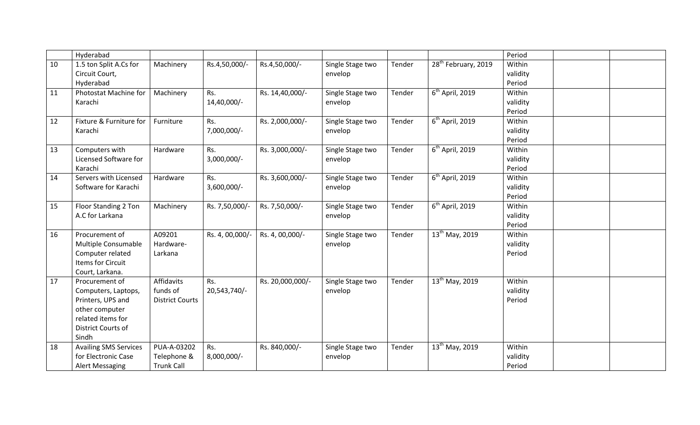|    | Hyderabad                                                                                                                        |                                                  |                       |                  |                             |        |                                 | Period                       |  |
|----|----------------------------------------------------------------------------------------------------------------------------------|--------------------------------------------------|-----------------------|------------------|-----------------------------|--------|---------------------------------|------------------------------|--|
| 10 | 1.5 ton Split A.Cs for<br>Circuit Court,<br>Hyderabad                                                                            | Machinery                                        | Rs.4,50,000/-         | Rs.4,50,000/-    | Single Stage two<br>envelop | Tender | 28 <sup>th</sup> February, 2019 | Within<br>validity<br>Period |  |
| 11 | Photostat Machine for<br>Karachi                                                                                                 | Machinery                                        | Rs.<br>14,40,000/-    | Rs. 14,40,000/-  | Single Stage two<br>envelop | Tender | $\overline{6^{th}}$ April, 2019 | Within<br>validity<br>Period |  |
| 12 | Fixture & Furniture for<br>Karachi                                                                                               | Furniture                                        | Rs.<br>7,000,000/-    | Rs. 2,000,000/-  | Single Stage two<br>envelop | Tender | $6th$ April, 2019               | Within<br>validity<br>Period |  |
| 13 | Computers with<br>Licensed Software for<br>Karachi                                                                               | Hardware                                         | Rs.<br>3,000,000/-    | Rs. 3,000,000/-  | Single Stage two<br>envelop | Tender | $\overline{6^{th}}$ April, 2019 | Within<br>validity<br>Period |  |
| 14 | Servers with Licensed<br>Software for Karachi                                                                                    | Hardware                                         | Rs.<br>$3,600,000/$ - | Rs. 3,600,000/-  | Single Stage two<br>envelop | Tender | $6th$ April, 2019               | Within<br>validity<br>Period |  |
| 15 | Floor Standing 2 Ton<br>A.C for Larkana                                                                                          | Machinery                                        | Rs. 7,50,000/-        | Rs. 7,50,000/-   | Single Stage two<br>envelop | Tender | $\overline{6^{th}}$ April, 2019 | Within<br>validity<br>Period |  |
| 16 | Procurement of<br>Multiple Consumable<br>Computer related<br><b>Items for Circuit</b><br>Court, Larkana.                         | A09201<br>Hardware-<br>Larkana                   | Rs. 4, 00,000/-       | Rs. 4, 00,000/-  | Single Stage two<br>envelop | Tender | 13 <sup>th</sup> May, 2019      | Within<br>validity<br>Period |  |
| 17 | Procurement of<br>Computers, Laptops,<br>Printers, UPS and<br>other computer<br>related items for<br>District Courts of<br>Sindh | Affidavits<br>funds of<br><b>District Courts</b> | Rs.<br>20,543,740/-   | Rs. 20,000,000/- | Single Stage two<br>envelop | Tender | 13 <sup>th</sup> May, 2019      | Within<br>validity<br>Period |  |
| 18 | <b>Availing SMS Services</b><br>for Electronic Case<br><b>Alert Messaging</b>                                                    | PUA-A-03202<br>Telephone &<br><b>Trunk Call</b>  | Rs.<br>8,000,000/-    | Rs. 840,000/-    | Single Stage two<br>envelop | Tender | 13 <sup>th</sup> May, 2019      | Within<br>validity<br>Period |  |